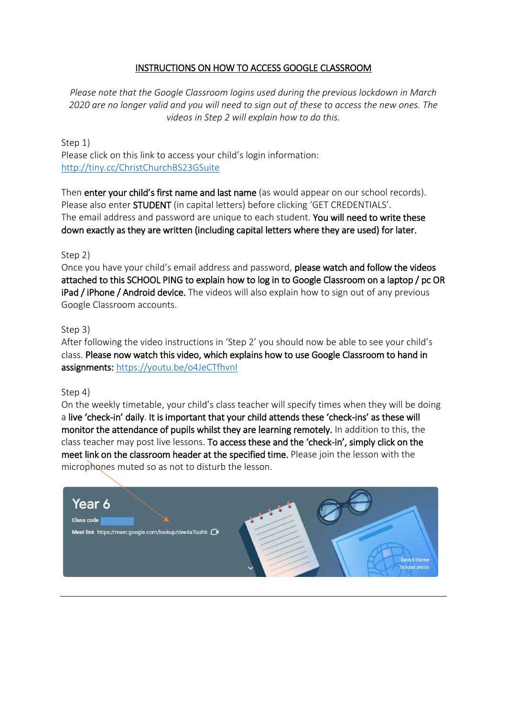### INSTRUCTIONS ON HOW TO ACCESS GOOGLE CLASSROOM

*Please note that the Google Classroom logins used during the previous lockdown in March 2020 are no longer valid and you will need to sign out of these to access the new ones. The videos in Step 2 will explain how to do this.* 

Step 1) Please click on this link to access your child's login information: <http://tiny.cc/ChristChurchBS23GSuite>

Then enter your child's first name and last name (as would appear on our school records). Please also enter STUDENT (in capital letters) before clicking 'GET CREDENTIALS'. The email address and password are unique to each student. You will need to write these down exactly as they are written (including capital letters where they are used) for later.

Step 2)

Once you have your child's email address and password, please watch and follow the videos attached to this SCHOOL PING to explain how to log in to Google Classroom on a laptop / pc OR iPad / iPhone / Android device. The videos will also explain how to sign out of any previous Google Classroom accounts.

Step 3)

After following the video instructions in 'Step 2' you should now be able to see your child's class. Please now watch this video, which explains how to use Google Classroom to hand in assignments: <https://youtu.be/o4JeCTfhvnI>

#### Step 4)

On the weekly timetable, your child's class teacher will specify times when they will be doing a live 'check-in' daily. It is important that your child attends these 'check-ins' as these will monitor the attendance of pupils whilst they are learning remotely. In addition to this, the class teacher may post live lessons. To access these and the 'check-in', simply click on the meet link on the classroom header at the specified time. Please join the lesson with the microphones muted so as not to disturb the lesson.

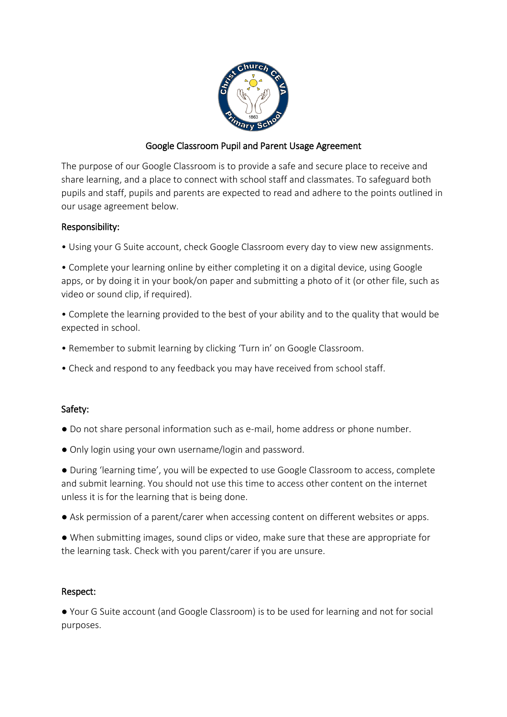

## Google Classroom Pupil and Parent Usage Agreement

The purpose of our Google Classroom is to provide a safe and secure place to receive and share learning, and a place to connect with school staff and classmates. To safeguard both pupils and staff, pupils and parents are expected to read and adhere to the points outlined in our usage agreement below.

### Responsibility:

- Using your G Suite account, check Google Classroom every day to view new assignments.
- Complete your learning online by either completing it on a digital device, using Google apps, or by doing it in your book/on paper and submitting a photo of it (or other file, such as video or sound clip, if required).
- Complete the learning provided to the best of your ability and to the quality that would be expected in school.
- Remember to submit learning by clicking 'Turn in' on Google Classroom.
- Check and respond to any feedback you may have received from school staff.

### Safety:

- Do not share personal information such as e-mail, home address or phone number.
- Only login using your own username/login and password.

● During 'learning time', you will be expected to use Google Classroom to access, complete and submit learning. You should not use this time to access other content on the internet unless it is for the learning that is being done.

- Ask permission of a parent/carer when accessing content on different websites or apps.
- When submitting images, sound clips or video, make sure that these are appropriate for the learning task. Check with you parent/carer if you are unsure.

### Respect:

● Your G Suite account (and Google Classroom) is to be used for learning and not for social purposes.